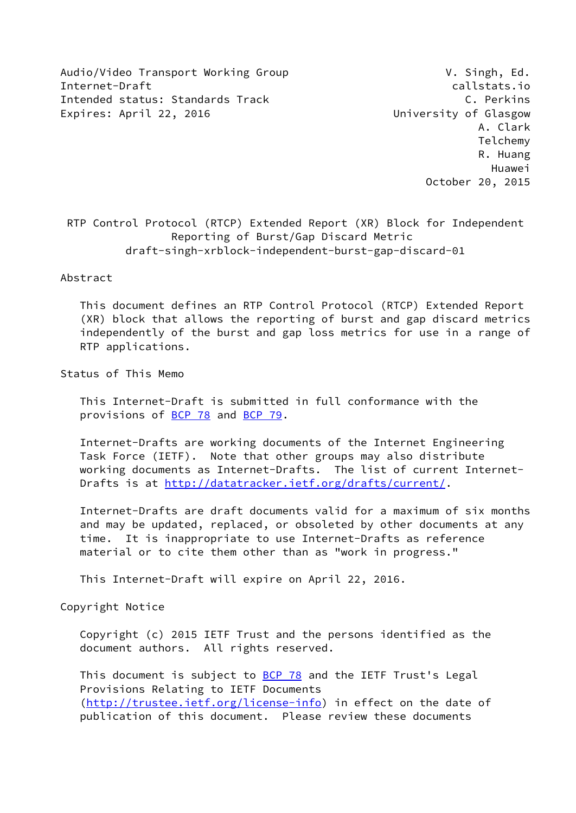Audio/Video Transport Working Group V. Singh, Ed. Internet-Draft callstats.io Intended status: Standards Track C. Perkins Expires: April 22, 2016 **Expires:** April 22, 2016

 A. Clark Telchemy R. Huang Huawei October 20, 2015

 RTP Control Protocol (RTCP) Extended Report (XR) Block for Independent Reporting of Burst/Gap Discard Metric draft-singh-xrblock-independent-burst-gap-discard-01

#### Abstract

 This document defines an RTP Control Protocol (RTCP) Extended Report (XR) block that allows the reporting of burst and gap discard metrics independently of the burst and gap loss metrics for use in a range of RTP applications.

Status of This Memo

 This Internet-Draft is submitted in full conformance with the provisions of [BCP 78](https://datatracker.ietf.org/doc/pdf/bcp78) and [BCP 79](https://datatracker.ietf.org/doc/pdf/bcp79).

 Internet-Drafts are working documents of the Internet Engineering Task Force (IETF). Note that other groups may also distribute working documents as Internet-Drafts. The list of current Internet- Drafts is at<http://datatracker.ietf.org/drafts/current/>.

 Internet-Drafts are draft documents valid for a maximum of six months and may be updated, replaced, or obsoleted by other documents at any time. It is inappropriate to use Internet-Drafts as reference material or to cite them other than as "work in progress."

This Internet-Draft will expire on April 22, 2016.

Copyright Notice

 Copyright (c) 2015 IETF Trust and the persons identified as the document authors. All rights reserved.

This document is subject to **[BCP 78](https://datatracker.ietf.org/doc/pdf/bcp78)** and the IETF Trust's Legal Provisions Relating to IETF Documents [\(http://trustee.ietf.org/license-info](http://trustee.ietf.org/license-info)) in effect on the date of publication of this document. Please review these documents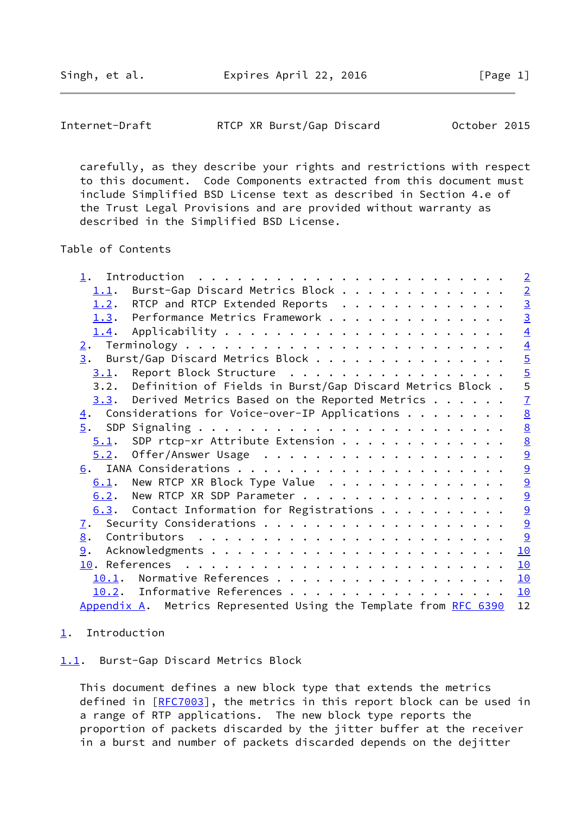<span id="page-1-1"></span>

 carefully, as they describe your rights and restrictions with respect to this document. Code Components extracted from this document must include Simplified BSD License text as described in Section 4.e of the Trust Legal Provisions and are provided without warranty as described in the Simplified BSD License.

Table of Contents

| $\overline{2}$  |
|-----------------|
| $\overline{2}$  |
| $\frac{3}{3}$   |
|                 |
| $\overline{4}$  |
| $\overline{4}$  |
|                 |
| $\frac{5}{5}$   |
|                 |
| $\overline{1}$  |
| $\underline{8}$ |
| $\underline{8}$ |
| $\underline{8}$ |
| 9               |
| $\overline{a}$  |
| $\underline{9}$ |
| 9               |
| 9               |
| 9               |
| 9               |
| 10              |
| 10              |
| 10              |
| 10              |
| 12              |
|                 |

# <span id="page-1-0"></span>[1](#page-1-0). Introduction

<span id="page-1-2"></span>[1.1](#page-1-2). Burst-Gap Discard Metrics Block

 This document defines a new block type that extends the metrics defined in [[RFC7003\]](https://datatracker.ietf.org/doc/pdf/rfc7003), the metrics in this report block can be used in a range of RTP applications. The new block type reports the proportion of packets discarded by the jitter buffer at the receiver in a burst and number of packets discarded depends on the dejitter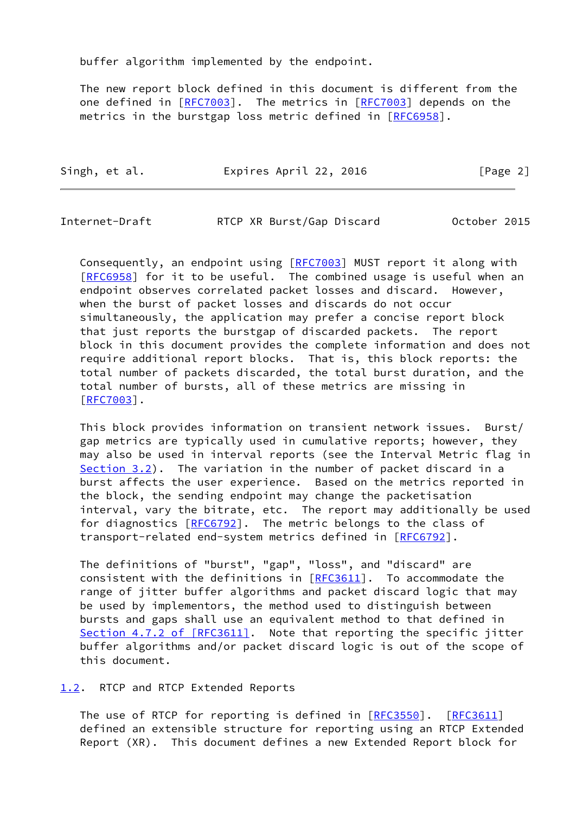buffer algorithm implemented by the endpoint.

 The new report block defined in this document is different from the one defined in [\[RFC7003](https://datatracker.ietf.org/doc/pdf/rfc7003)]. The metrics in [[RFC7003](https://datatracker.ietf.org/doc/pdf/rfc7003)] depends on the metrics in the burstgap loss metric defined in [\[RFC6958](https://datatracker.ietf.org/doc/pdf/rfc6958)].

| Expires April 22, 2016<br>Singh, et al. | [Page 2] |
|-----------------------------------------|----------|
|-----------------------------------------|----------|

<span id="page-2-1"></span>Internet-Draft RTCP XR Burst/Gap Discard October 2015

Consequently, an endpoint using [\[RFC7003](https://datatracker.ietf.org/doc/pdf/rfc7003)] MUST report it along with [\[RFC6958](https://datatracker.ietf.org/doc/pdf/rfc6958)] for it to be useful. The combined usage is useful when an endpoint observes correlated packet losses and discard. However, when the burst of packet losses and discards do not occur simultaneously, the application may prefer a concise report block that just reports the burstgap of discarded packets. The report block in this document provides the complete information and does not require additional report blocks. That is, this block reports: the total number of packets discarded, the total burst duration, and the total number of bursts, all of these metrics are missing in [\[RFC7003](https://datatracker.ietf.org/doc/pdf/rfc7003)].

 This block provides information on transient network issues. Burst/ gap metrics are typically used in cumulative reports; however, they may also be used in interval reports (see the Interval Metric flag in [Section 3.2](#page-5-0)). The variation in the number of packet discard in a burst affects the user experience. Based on the metrics reported in the block, the sending endpoint may change the packetisation interval, vary the bitrate, etc. The report may additionally be used for diagnostics [\[RFC6792](https://datatracker.ietf.org/doc/pdf/rfc6792)]. The metric belongs to the class of transport-related end-system metrics defined in [\[RFC6792](https://datatracker.ietf.org/doc/pdf/rfc6792)].

 The definitions of "burst", "gap", "loss", and "discard" are consistent with the definitions in  $[RECS611]$ . To accommodate the range of jitter buffer algorithms and packet discard logic that may be used by implementors, the method used to distinguish between bursts and gaps shall use an equivalent method to that defined in Section [4.7.2 of \[RFC3611\]](https://datatracker.ietf.org/doc/pdf/rfc3611#section-4.7.2). Note that reporting the specific jitter buffer algorithms and/or packet discard logic is out of the scope of this document.

<span id="page-2-0"></span>[1.2](#page-2-0). RTCP and RTCP Extended Reports

 The use of RTCP for reporting is defined in [\[RFC3550](https://datatracker.ietf.org/doc/pdf/rfc3550)]. [\[RFC3611](https://datatracker.ietf.org/doc/pdf/rfc3611)] defined an extensible structure for reporting using an RTCP Extended Report (XR). This document defines a new Extended Report block for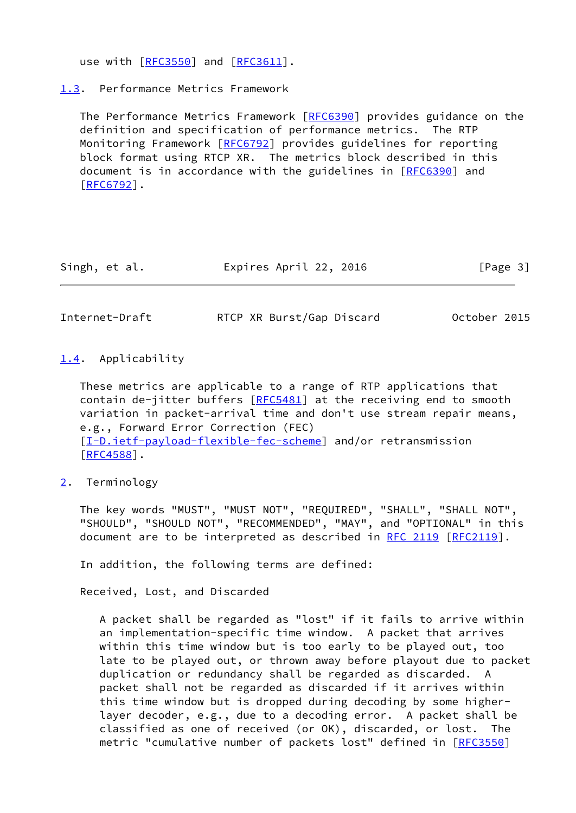use with [\[RFC3550](https://datatracker.ietf.org/doc/pdf/rfc3550)] and [\[RFC3611](https://datatracker.ietf.org/doc/pdf/rfc3611)].

<span id="page-3-0"></span>[1.3](#page-3-0). Performance Metrics Framework

 The Performance Metrics Framework [[RFC6390](https://datatracker.ietf.org/doc/pdf/rfc6390)] provides guidance on the definition and specification of performance metrics. The RTP Monitoring Framework [\[RFC6792](https://datatracker.ietf.org/doc/pdf/rfc6792)] provides guidelines for reporting block format using RTCP XR. The metrics block described in this document is in accordance with the guidelines in [\[RFC6390](https://datatracker.ietf.org/doc/pdf/rfc6390)] and [\[RFC6792](https://datatracker.ietf.org/doc/pdf/rfc6792)].

| Singh, et al. | Expires April 22, 2016 | [Page 3] |
|---------------|------------------------|----------|
|---------------|------------------------|----------|

<span id="page-3-2"></span>Internet-Draft RTCP XR Burst/Gap Discard October 2015

# <span id="page-3-1"></span>[1.4](#page-3-1). Applicability

 These metrics are applicable to a range of RTP applications that contain de-jitter buffers  $[REC5481]$  at the receiving end to smooth variation in packet-arrival time and don't use stream repair means, e.g., Forward Error Correction (FEC) [\[I-D.ietf-payload-flexible-fec-scheme](#page-10-5)] and/or retransmission [\[RFC4588](https://datatracker.ietf.org/doc/pdf/rfc4588)].

<span id="page-3-3"></span>[2](#page-3-3). Terminology

 The key words "MUST", "MUST NOT", "REQUIRED", "SHALL", "SHALL NOT", "SHOULD", "SHOULD NOT", "RECOMMENDED", "MAY", and "OPTIONAL" in this document are to be interpreted as described in [RFC 2119 \[RFC2119](https://datatracker.ietf.org/doc/pdf/rfc2119)].

In addition, the following terms are defined:

Received, Lost, and Discarded

 A packet shall be regarded as "lost" if it fails to arrive within an implementation-specific time window. A packet that arrives within this time window but is too early to be played out, too late to be played out, or thrown away before playout due to packet duplication or redundancy shall be regarded as discarded. A packet shall not be regarded as discarded if it arrives within this time window but is dropped during decoding by some higher layer decoder, e.g., due to a decoding error. A packet shall be classified as one of received (or OK), discarded, or lost. metric "cumulative number of packets lost" defined in [\[RFC3550](https://datatracker.ietf.org/doc/pdf/rfc3550)]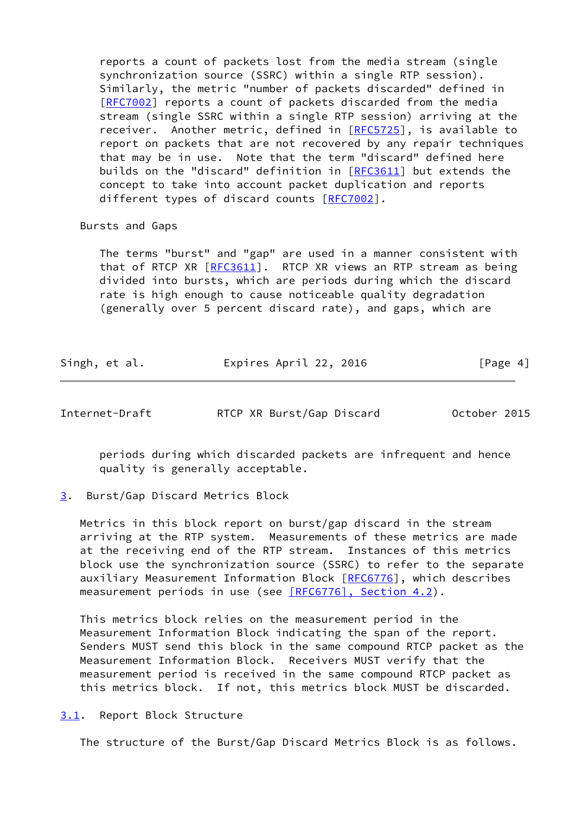reports a count of packets lost from the media stream (single synchronization source (SSRC) within a single RTP session). Similarly, the metric "number of packets discarded" defined in [[RFC7002\]](https://datatracker.ietf.org/doc/pdf/rfc7002) reports a count of packets discarded from the media stream (single SSRC within a single RTP session) arriving at the receiver. Another metric, defined in [\[RFC5725](https://datatracker.ietf.org/doc/pdf/rfc5725)], is available to report on packets that are not recovered by any repair techniques that may be in use. Note that the term "discard" defined here builds on the "discard" definition in [\[RFC3611](https://datatracker.ietf.org/doc/pdf/rfc3611)] but extends the concept to take into account packet duplication and reports different types of discard counts [\[RFC7002](https://datatracker.ietf.org/doc/pdf/rfc7002)].

Bursts and Gaps

 The terms "burst" and "gap" are used in a manner consistent with that of RTCP XR [[RFC3611\]](https://datatracker.ietf.org/doc/pdf/rfc3611). RTCP XR views an RTP stream as being divided into bursts, which are periods during which the discard rate is high enough to cause noticeable quality degradation (generally over 5 percent discard rate), and gaps, which are

| Singh, et al. | Expires April 22, 2016 | [Page 4] |
|---------------|------------------------|----------|
|---------------|------------------------|----------|

<span id="page-4-1"></span>Internet-Draft RTCP XR Burst/Gap Discard October 2015

 periods during which discarded packets are infrequent and hence quality is generally acceptable.

<span id="page-4-0"></span>[3](#page-4-0). Burst/Gap Discard Metrics Block

 Metrics in this block report on burst/gap discard in the stream arriving at the RTP system. Measurements of these metrics are made at the receiving end of the RTP stream. Instances of this metrics block use the synchronization source (SSRC) to refer to the separate auxiliary Measurement Information Block [\[RFC6776](https://datatracker.ietf.org/doc/pdf/rfc6776)], which describes measurement periods in use (see [\[RFC6776\], Section](https://datatracker.ietf.org/doc/pdf/rfc6776#section-4.2) 4.2).

 This metrics block relies on the measurement period in the Measurement Information Block indicating the span of the report. Senders MUST send this block in the same compound RTCP packet as the Measurement Information Block. Receivers MUST verify that the measurement period is received in the same compound RTCP packet as this metrics block. If not, this metrics block MUST be discarded.

<span id="page-4-2"></span>[3.1](#page-4-2). Report Block Structure

The structure of the Burst/Gap Discard Metrics Block is as follows.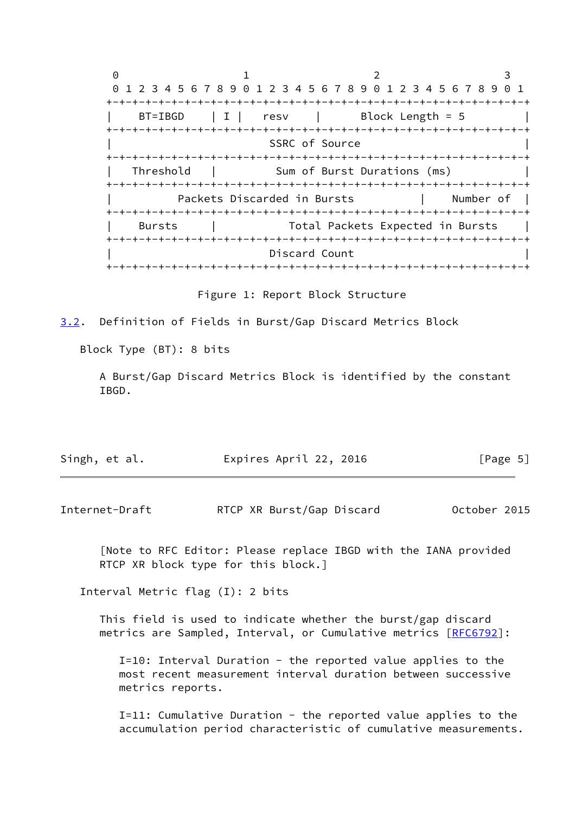$0$  1 2 3 0 1 2 3 4 5 6 7 8 9 0 1 2 3 4 5 6 7 8 9 0 1 2 3 4 5 6 7 8 9 0 1 +-+-+-+-+-+-+-+-+-+-+-+-+-+-+-+-+-+-+-+-+-+-+-+-+-+-+-+-+-+-+-+-+  $BT=IBGD$  | I | resv | Block Length = 5 +-+-+-+-+-+-+-+-+-+-+-+-+-+-+-+-+-+-+-+-+-+-+-+-+-+-+-+-+-+-+-+-+ SSRC of Source +-+-+-+-+-+-+-+-+-+-+-+-+-+-+-+-+-+-+-+-+-+-+-+-+-+-+-+-+-+-+-+-+ Threshold | Sum of Burst Durations (ms) +-+-+-+-+-+-+-+-+-+-+-+-+-+-+-+-+-+-+-+-+-+-+-+-+-+-+-+-+-+-+-+-+ Packets Discarded in Bursts | Number of | +-+-+-+-+-+-+-+-+-+-+-+-+-+-+-+-+-+-+-+-+-+-+-+-+-+-+-+-+-+-+-+-+ | Bursts | Total Packets Expected in Bursts | +-+-+-+-+-+-+-+-+-+-+-+-+-+-+-+-+-+-+-+-+-+-+-+-+-+-+-+-+-+-+-+-+ Discard Count +-+-+-+-+-+-+-+-+-+-+-+-+-+-+-+-+-+-+-+-+-+-+-+-+-+-+-+-+-+-+-+-+

Figure 1: Report Block Structure

<span id="page-5-0"></span>[3.2](#page-5-0). Definition of Fields in Burst/Gap Discard Metrics Block

Block Type (BT): 8 bits

 A Burst/Gap Discard Metrics Block is identified by the constant IBGD.

| Singh, et al. | Expires April 22, 2016 | [Page 5] |
|---------------|------------------------|----------|
|               |                        |          |

Internet-Draft RTCP XR Burst/Gap Discard October 2015

 [Note to RFC Editor: Please replace IBGD with the IANA provided RTCP XR block type for this block.]

Interval Metric flag (I): 2 bits

 This field is used to indicate whether the burst/gap discard metrics are Sampled, Interval, or Cumulative metrics [\[RFC6792](https://datatracker.ietf.org/doc/pdf/rfc6792)]:

 I=10: Interval Duration - the reported value applies to the most recent measurement interval duration between successive metrics reports.

 I=11: Cumulative Duration - the reported value applies to the accumulation period characteristic of cumulative measurements.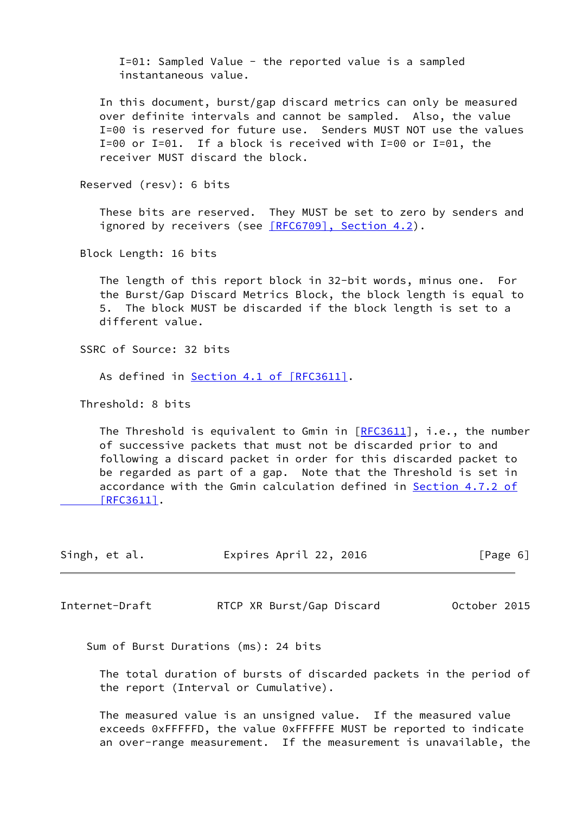I=01: Sampled Value - the reported value is a sampled instantaneous value.

 In this document, burst/gap discard metrics can only be measured over definite intervals and cannot be sampled. Also, the value I=00 is reserved for future use. Senders MUST NOT use the values  $I=00$  or  $I=01$ . If a block is received with  $I=00$  or  $I=01$ , the receiver MUST discard the block.

Reserved (resv): 6 bits

 These bits are reserved. They MUST be set to zero by senders and ignored by receivers (see [\[RFC6709\], Section](https://datatracker.ietf.org/doc/pdf/rfc6709#section-4.2) 4.2).

Block Length: 16 bits

 The length of this report block in 32-bit words, minus one. For the Burst/Gap Discard Metrics Block, the block length is equal to 5. The block MUST be discarded if the block length is set to a different value.

SSRC of Source: 32 bits

As defined in **Section [4.1 of \[RFC3611\]](https://datatracker.ietf.org/doc/pdf/rfc3611#section-4.1)**.

Threshold: 8 bits

The Threshold is equivalent to Gmin in  $[REC3611]$ , i.e., the number of successive packets that must not be discarded prior to and following a discard packet in order for this discarded packet to be regarded as part of a gap. Note that the Threshold is set in accordance with the Gmin calculation defined in Section [4.7.2 of](https://datatracker.ietf.org/doc/pdf/rfc3611#section-4.7.2)  [\[RFC3611\]](https://datatracker.ietf.org/doc/pdf/rfc3611#section-4.7.2).

| Singh, et al. | Expires April 22, 2016 | [Page 6] |
|---------------|------------------------|----------|
|               |                        |          |

<span id="page-6-0"></span>Internet-Draft RTCP XR Burst/Gap Discard October 2015

Sum of Burst Durations (ms): 24 bits

 The total duration of bursts of discarded packets in the period of the report (Interval or Cumulative).

 The measured value is an unsigned value. If the measured value exceeds 0xFFFFFD, the value 0xFFFFFE MUST be reported to indicate an over-range measurement. If the measurement is unavailable, the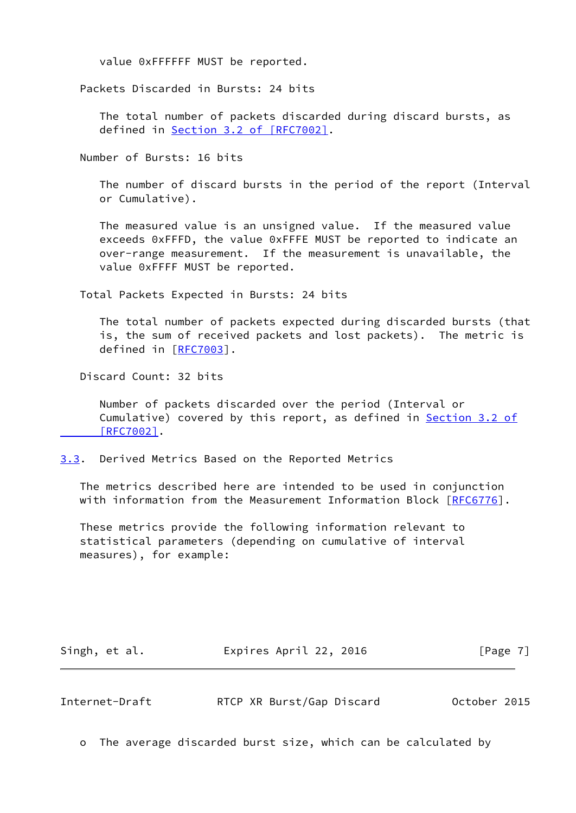value 0xFFFFFF MUST be reported.

Packets Discarded in Bursts: 24 bits

 The total number of packets discarded during discard bursts, as defined in Section [3.2 of \[RFC7002\]](https://datatracker.ietf.org/doc/pdf/rfc7002#section-3.2).

Number of Bursts: 16 bits

 The number of discard bursts in the period of the report (Interval or Cumulative).

 The measured value is an unsigned value. If the measured value exceeds 0xFFFD, the value 0xFFFE MUST be reported to indicate an over-range measurement. If the measurement is unavailable, the value 0xFFFF MUST be reported.

Total Packets Expected in Bursts: 24 bits

 The total number of packets expected during discarded bursts (that is, the sum of received packets and lost packets). The metric is defined in [[RFC7003](https://datatracker.ietf.org/doc/pdf/rfc7003)].

Discard Count: 32 bits

 Number of packets discarded over the period (Interval or Cumulative) covered by this report, as defined in [Section](https://datatracker.ietf.org/doc/pdf/rfc7002#section-3.2) 3.2 of  [\[RFC7002\]](https://datatracker.ietf.org/doc/pdf/rfc7002#section-3.2).

<span id="page-7-0"></span>[3.3](#page-7-0). Derived Metrics Based on the Reported Metrics

 The metrics described here are intended to be used in conjunction with information from the Measurement Information Block [\[RFC6776](https://datatracker.ietf.org/doc/pdf/rfc6776)].

 These metrics provide the following information relevant to statistical parameters (depending on cumulative of interval measures), for example:

Singh, et al. **Expires April 22, 2016** [Page 7]

<span id="page-7-1"></span>Internet-Draft RTCP XR Burst/Gap Discard October 2015

o The average discarded burst size, which can be calculated by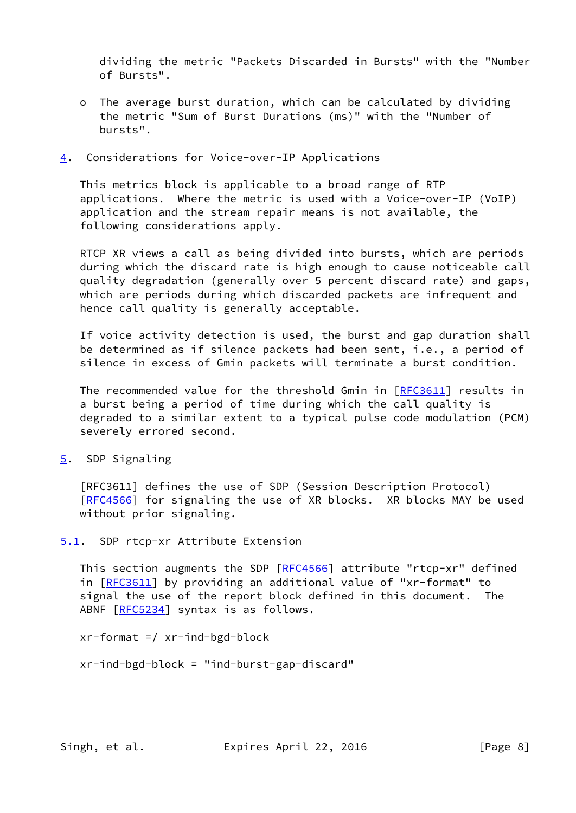dividing the metric "Packets Discarded in Bursts" with the "Number of Bursts".

 o The average burst duration, which can be calculated by dividing the metric "Sum of Burst Durations (ms)" with the "Number of bursts".

### <span id="page-8-0"></span>[4](#page-8-0). Considerations for Voice-over-IP Applications

 This metrics block is applicable to a broad range of RTP applications. Where the metric is used with a Voice-over-IP (VoIP) application and the stream repair means is not available, the following considerations apply.

 RTCP XR views a call as being divided into bursts, which are periods during which the discard rate is high enough to cause noticeable call quality degradation (generally over 5 percent discard rate) and gaps, which are periods during which discarded packets are infrequent and hence call quality is generally acceptable.

 If voice activity detection is used, the burst and gap duration shall be determined as if silence packets had been sent, i.e., a period of silence in excess of Gmin packets will terminate a burst condition.

The recommended value for the threshold Gmin in [\[RFC3611](https://datatracker.ietf.org/doc/pdf/rfc3611)] results in a burst being a period of time during which the call quality is degraded to a similar extent to a typical pulse code modulation (PCM) severely errored second.

<span id="page-8-1"></span>[5](#page-8-1). SDP Signaling

 [RFC3611] defines the use of SDP (Session Description Protocol) [\[RFC4566](https://datatracker.ietf.org/doc/pdf/rfc4566)] for signaling the use of XR blocks. XR blocks MAY be used without prior signaling.

### <span id="page-8-2"></span>[5.1](#page-8-2). SDP rtcp-xr Attribute Extension

This section augments the SDP [[RFC4566](https://datatracker.ietf.org/doc/pdf/rfc4566)] attribute "rtcp-xr" defined in [[RFC3611\]](https://datatracker.ietf.org/doc/pdf/rfc3611) by providing an additional value of "xr-format" to signal the use of the report block defined in this document. The ABNF [\[RFC5234](https://datatracker.ietf.org/doc/pdf/rfc5234)] syntax is as follows.

xr-format =/ xr-ind-bgd-block

xr-ind-bgd-block = "ind-burst-gap-discard"

Singh, et al. **Expires April 22, 2016** [Page 8]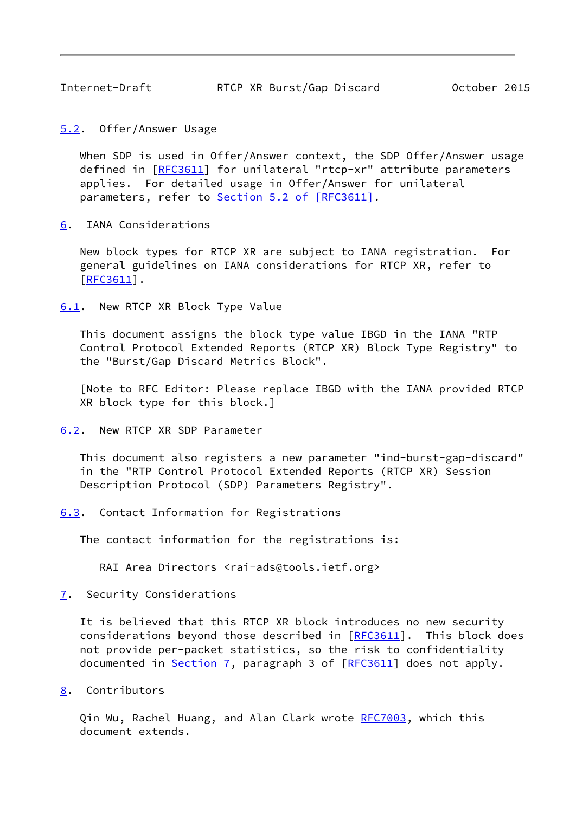<span id="page-9-1"></span><span id="page-9-0"></span>[5.2](#page-9-0). Offer/Answer Usage

 When SDP is used in Offer/Answer context, the SDP Offer/Answer usage defined in [[RFC3611\]](https://datatracker.ietf.org/doc/pdf/rfc3611) for unilateral "rtcp-xr" attribute parameters applies. For detailed usage in Offer/Answer for unilateral parameters, refer to Section [5.2 of \[RFC3611\]](https://datatracker.ietf.org/doc/pdf/rfc3611#section-5.2).

<span id="page-9-2"></span>[6](#page-9-2). IANA Considerations

 New block types for RTCP XR are subject to IANA registration. For general guidelines on IANA considerations for RTCP XR, refer to [\[RFC3611](https://datatracker.ietf.org/doc/pdf/rfc3611)].

<span id="page-9-3"></span>[6.1](#page-9-3). New RTCP XR Block Type Value

 This document assigns the block type value IBGD in the IANA "RTP Control Protocol Extended Reports (RTCP XR) Block Type Registry" to the "Burst/Gap Discard Metrics Block".

 [Note to RFC Editor: Please replace IBGD with the IANA provided RTCP XR block type for this block.]

<span id="page-9-4"></span>[6.2](#page-9-4). New RTCP XR SDP Parameter

 This document also registers a new parameter "ind-burst-gap-discard" in the "RTP Control Protocol Extended Reports (RTCP XR) Session Description Protocol (SDP) Parameters Registry".

<span id="page-9-5"></span>[6.3](#page-9-5). Contact Information for Registrations

The contact information for the registrations is:

RAI Area Directors <rai-ads@tools.ietf.org>

<span id="page-9-6"></span>[7](#page-9-6). Security Considerations

 It is believed that this RTCP XR block introduces no new security considerations beyond those described in [\[RFC3611](https://datatracker.ietf.org/doc/pdf/rfc3611)]. This block does not provide per-packet statistics, so the risk to confidentiality documented in [Section 7,](#page-9-6) paragraph 3 of [\[RFC3611](https://datatracker.ietf.org/doc/pdf/rfc3611)] does not apply.

<span id="page-9-7"></span>[8](#page-9-7). Contributors

Qin Wu, Rachel Huang, and Alan Clark wrote [RFC7003](https://datatracker.ietf.org/doc/pdf/rfc7003), which this document extends.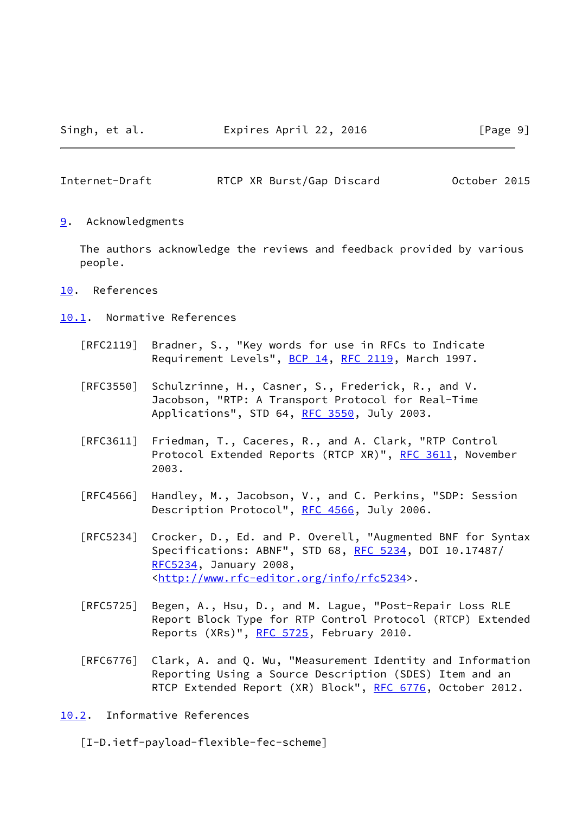<span id="page-10-1"></span><span id="page-10-0"></span>[9](#page-10-0). Acknowledgments

 The authors acknowledge the reviews and feedback provided by various people.

- <span id="page-10-2"></span>[10.](#page-10-2) References
- <span id="page-10-3"></span>[10.1](#page-10-3). Normative References
	- [RFC2119] Bradner, S., "Key words for use in RFCs to Indicate Requirement Levels", [BCP 14](https://datatracker.ietf.org/doc/pdf/bcp14), [RFC 2119](https://datatracker.ietf.org/doc/pdf/rfc2119), March 1997.
	- [RFC3550] Schulzrinne, H., Casner, S., Frederick, R., and V. Jacobson, "RTP: A Transport Protocol for Real-Time Applications", STD 64, [RFC 3550](https://datatracker.ietf.org/doc/pdf/rfc3550), July 2003.
	- [RFC3611] Friedman, T., Caceres, R., and A. Clark, "RTP Control Protocol Extended Reports (RTCP XR)", [RFC 3611](https://datatracker.ietf.org/doc/pdf/rfc3611), November 2003.
	- [RFC4566] Handley, M., Jacobson, V., and C. Perkins, "SDP: Session Description Protocol", [RFC 4566](https://datatracker.ietf.org/doc/pdf/rfc4566), July 2006.
	- [RFC5234] Crocker, D., Ed. and P. Overell, "Augmented BNF for Syntax Specifications: ABNF", STD 68, [RFC 5234](https://datatracker.ietf.org/doc/pdf/rfc5234), DOI 10.17487/ [RFC5234](https://datatracker.ietf.org/doc/pdf/rfc5234), January 2008, <<http://www.rfc-editor.org/info/rfc5234>>.
	- [RFC5725] Begen, A., Hsu, D., and M. Lague, "Post-Repair Loss RLE Report Block Type for RTP Control Protocol (RTCP) Extended Reports (XRs)", [RFC 5725,](https://datatracker.ietf.org/doc/pdf/rfc5725) February 2010.
	- [RFC6776] Clark, A. and Q. Wu, "Measurement Identity and Information Reporting Using a Source Description (SDES) Item and an RTCP Extended Report (XR) Block", [RFC 6776](https://datatracker.ietf.org/doc/pdf/rfc6776), October 2012.
- <span id="page-10-4"></span>[10.2](#page-10-4). Informative References

<span id="page-10-5"></span>[I-D.ietf-payload-flexible-fec-scheme]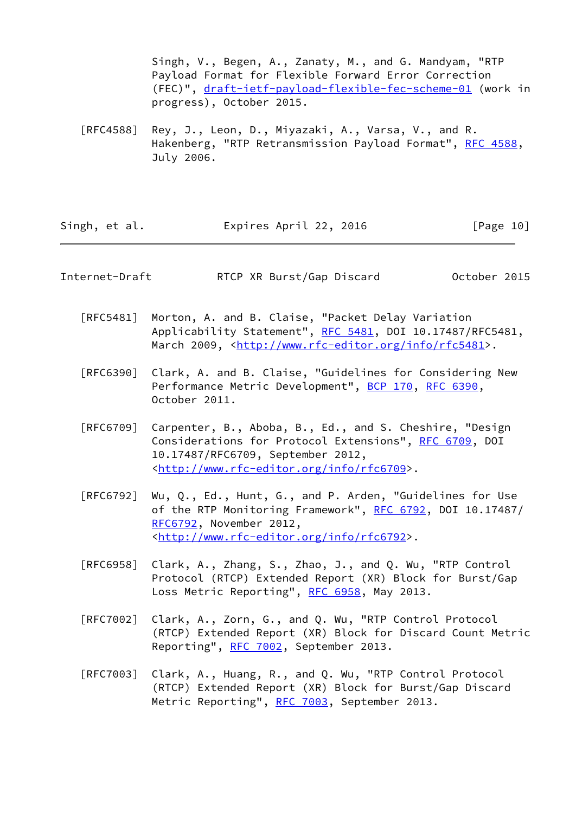Singh, V., Begen, A., Zanaty, M., and G. Mandyam, "RTP Payload Format for Flexible Forward Error Correction (FEC)", [draft-ietf-payload-flexible-fec-scheme-01](https://datatracker.ietf.org/doc/pdf/draft-ietf-payload-flexible-fec-scheme-01) (work in progress), October 2015.

 [RFC4588] Rey, J., Leon, D., Miyazaki, A., Varsa, V., and R. Hakenberg, "RTP Retransmission Payload Format", [RFC 4588,](https://datatracker.ietf.org/doc/pdf/rfc4588) July 2006.

| Singh, et al. | Expires April 22, 2016 | [Page 10] |
|---------------|------------------------|-----------|
|               |                        |           |

Internet-Draft RTCP XR Burst/Gap Discard October 2015

- [RFC5481] Morton, A. and B. Claise, "Packet Delay Variation Applicability Statement", [RFC 5481](https://datatracker.ietf.org/doc/pdf/rfc5481), DOI 10.17487/RFC5481, March 2009, [<http://www.rfc-editor.org/info/rfc5481](http://www.rfc-editor.org/info/rfc5481)>.
- [RFC6390] Clark, A. and B. Claise, "Guidelines for Considering New Performance Metric Development", [BCP 170,](https://datatracker.ietf.org/doc/pdf/bcp170) [RFC 6390](https://datatracker.ietf.org/doc/pdf/rfc6390), October 2011.
- [RFC6709] Carpenter, B., Aboba, B., Ed., and S. Cheshire, "Design Considerations for Protocol Extensions", [RFC 6709,](https://datatracker.ietf.org/doc/pdf/rfc6709) DOI 10.17487/RFC6709, September 2012, <<http://www.rfc-editor.org/info/rfc6709>>.
- [RFC6792] Wu, Q., Ed., Hunt, G., and P. Arden, "Guidelines for Use of the RTP Monitoring Framework", [RFC 6792](https://datatracker.ietf.org/doc/pdf/rfc6792), DOI 10.17487/ [RFC6792](https://datatracker.ietf.org/doc/pdf/rfc6792), November 2012, <<http://www.rfc-editor.org/info/rfc6792>>.
- [RFC6958] Clark, A., Zhang, S., Zhao, J., and Q. Wu, "RTP Control Protocol (RTCP) Extended Report (XR) Block for Burst/Gap Loss Metric Reporting", [RFC 6958,](https://datatracker.ietf.org/doc/pdf/rfc6958) May 2013.
- [RFC7002] Clark, A., Zorn, G., and Q. Wu, "RTP Control Protocol (RTCP) Extended Report (XR) Block for Discard Count Metric Reporting", [RFC 7002,](https://datatracker.ietf.org/doc/pdf/rfc7002) September 2013.
- [RFC7003] Clark, A., Huang, R., and Q. Wu, "RTP Control Protocol (RTCP) Extended Report (XR) Block for Burst/Gap Discard Metric Reporting", [RFC 7003](https://datatracker.ietf.org/doc/pdf/rfc7003), September 2013.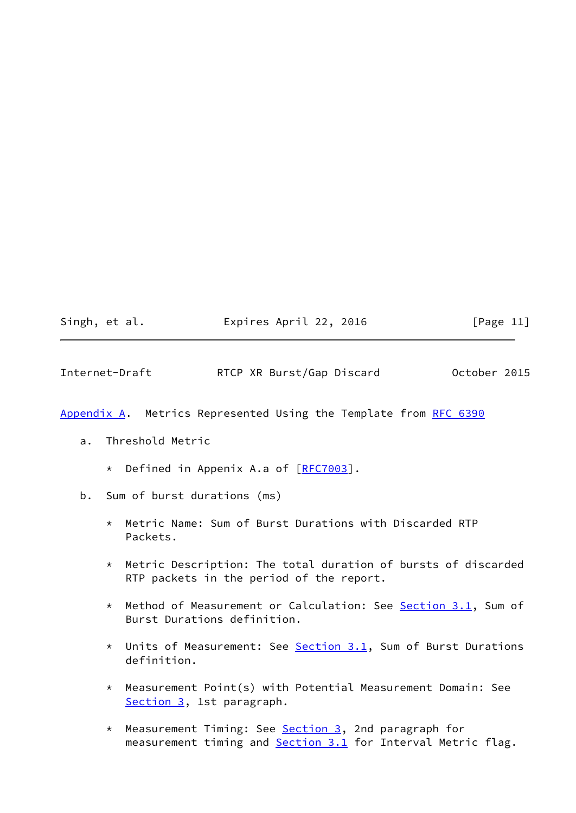|  | Singh, et al. |  |  |
|--|---------------|--|--|
|--|---------------|--|--|

Expires April 22, 2016  $[Page 11]$ 

Internet-Draft RTCP XR Burst/Gap Discard October 2015

<span id="page-12-0"></span>[Appendix A.](#page-12-0) Metrics Represented Using the Template from [RFC 6390](https://datatracker.ietf.org/doc/pdf/rfc6390)

- a. Threshold Metric
	- \* Defined in Appenix A.a of [\[RFC7003](https://datatracker.ietf.org/doc/pdf/rfc7003)].
- b. Sum of burst durations (ms)
	- \* Metric Name: Sum of Burst Durations with Discarded RTP Packets.
	- \* Metric Description: The total duration of bursts of discarded RTP packets in the period of the report.
	- \* Method of Measurement or Calculation: See [Section 3.1](#page-4-2), Sum of Burst Durations definition.
	- \* Units of Measurement: See [Section 3.1](#page-4-2), Sum of Burst Durations definition.
	- \* Measurement Point(s) with Potential Measurement Domain: See [Section 3,](#page-4-0) 1st paragraph.
	- \* Measurement Timing: See **Section 3**, 2nd paragraph for measurement timing and **Section 3.1** for Interval Metric flag.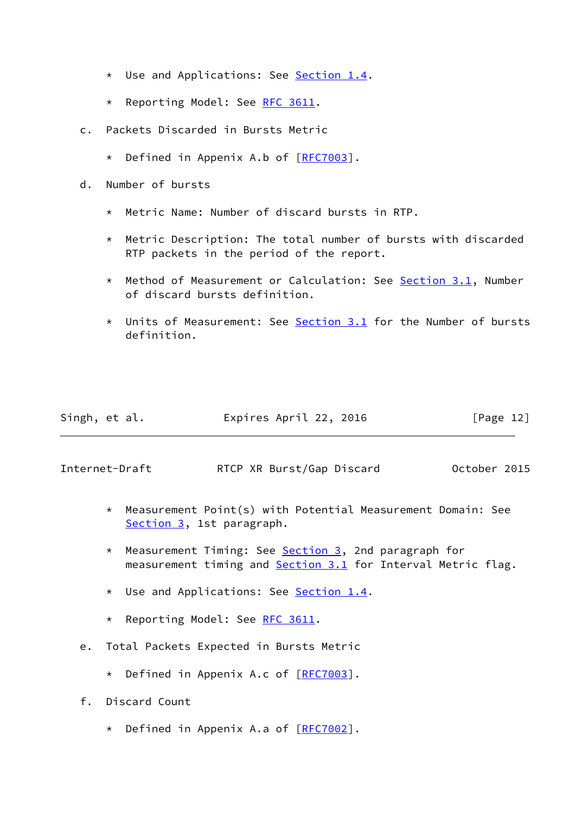- \* Use and Applications: See [Section 1.4](#page-3-1).
- \* Reporting Model: See [RFC 3611.](https://datatracker.ietf.org/doc/pdf/rfc3611)
- c. Packets Discarded in Bursts Metric
	- \* Defined in Appenix A.b of [\[RFC7003](https://datatracker.ietf.org/doc/pdf/rfc7003)].
- d. Number of bursts
	- \* Metric Name: Number of discard bursts in RTP.
	- \* Metric Description: The total number of bursts with discarded RTP packets in the period of the report.
	- \* Method of Measurement or Calculation: See [Section 3.1](#page-4-2), Number of discard bursts definition.
	- \* Units of Measurement: See [Section 3.1](#page-4-2) for the Number of bursts definition.

| Singh, et al. | Expires April 22, 2016 | [Page 12] |
|---------------|------------------------|-----------|
|               |                        |           |

- \* Measurement Point(s) with Potential Measurement Domain: See [Section 3,](#page-4-0) 1st paragraph.
- \* Measurement Timing: See [Section 3,](#page-4-0) 2nd paragraph for measurement timing and **Section 3.1** for Interval Metric flag.
- \* Use and Applications: See [Section 1.4](#page-3-1).
- \* Reporting Model: See [RFC 3611.](https://datatracker.ietf.org/doc/pdf/rfc3611)
- e. Total Packets Expected in Bursts Metric
	- \* Defined in Appenix A.c of [\[RFC7003](https://datatracker.ietf.org/doc/pdf/rfc7003)].
- f. Discard Count
	- \* Defined in Appenix A.a of [\[RFC7002](https://datatracker.ietf.org/doc/pdf/rfc7002)].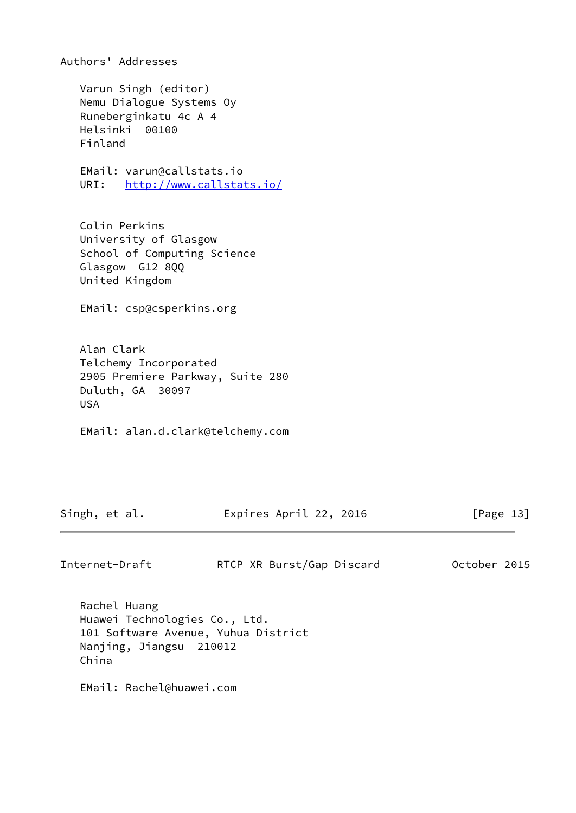Authors' Addresses

 Varun Singh (editor) Nemu Dialogue Systems Oy Runeberginkatu 4c A 4 Helsinki 00100 Finland

 EMail: varun@callstats.io URI: <http://www.callstats.io/>

 Colin Perkins University of Glasgow School of Computing Science Glasgow G12 8QQ United Kingdom

EMail: csp@csperkins.org

 Alan Clark Telchemy Incorporated 2905 Premiere Parkway, Suite 280 Duluth, GA 30097 USA

EMail: alan.d.clark@telchemy.com

Singh, et al. **Expires April 22, 2016** [Page 13]

Internet-Draft RTCP XR Burst/Gap Discard October 2015

 Rachel Huang Huawei Technologies Co., Ltd. 101 Software Avenue, Yuhua District Nanjing, Jiangsu 210012 China

EMail: Rachel@huawei.com